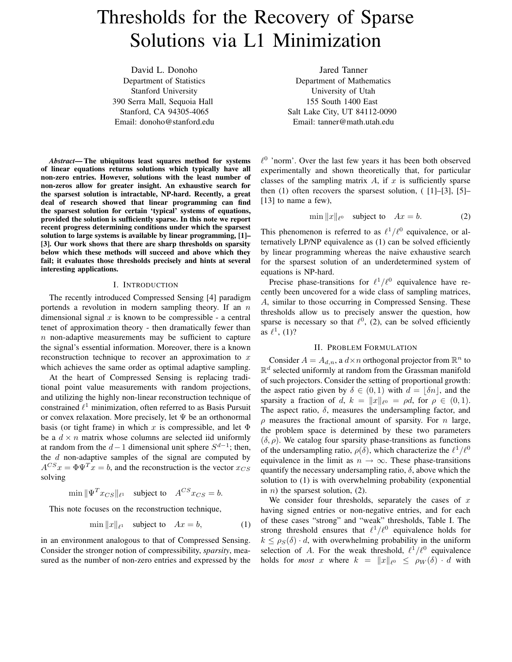# Thresholds for the Recovery of Sparse Solutions via L1 Minimization

David L. Donoho Department of Statistics Stanford University 390 Serra Mall, Sequoia Hall Stanford, CA 94305-4065 Email: donoho@stanford.edu

*Abstract***— The ubiquitous least squares method for systems of linear equations returns solutions which typically have all non-zero entries. However, solutions with the least number of non-zeros allow for greater insight. An exhaustive search for the sparsest solution is intractable, NP-hard. Recently, a great deal of research showed that linear programming can find the sparsest solution for certain 'typical' systems of equations, provided the solution is sufficiently sparse. In this note we report recent progress determining conditions under which the sparsest solution to large systems is available by linear programming, [1]– [3]. Our work shows that there are sharp thresholds on sparsity below which these methods will succeed and above which they fail; it evaluates those thresholds precisely and hints at several interesting applications.**

## I. INTRODUCTION

The recently introduced Compressed Sensing [4] paradigm portends a revolution in modern sampling theory. If an  $n$ dimensional signal  $x$  is known to be compressible - a central tenet of approximation theory - then dramatically fewer than  $n$  non-adaptive measurements may be sufficient to capture the signal's essential information. Moreover, there is a known reconstruction technique to recover an approximation to  $x$ which achieves the same order as optimal adaptive sampling.

At the heart of Compressed Sensing is replacing traditional point value measurements with random projections, and utilizing the highly non-linear reconstruction technique of constrained  $\ell^1$  minimization, often referred to as Basis Pursuit or convex relaxation. More precisely, let  $\Psi$  be an orthonormal basis (or tight frame) in which x is compressible, and let  $\Phi$ be a  $d \times n$  matrix whose columns are selected iid uniformly at random from the  $d-1$  dimensional unit sphere  $S^{d-1}$ ; then, the  $d$  non-adaptive samples of the signal are computed by  $A^{CS}x = \Phi \Psi^{T}x = b$ , and the reconstruction is the vector  $x_{CS}$ solving

$$
\min \|\Psi^T x_{CS}\|_{\ell^1} \quad \text{subject to} \quad A^{CS} x_{CS} = b.
$$

This note focuses on the reconstruction technique,

$$
\min \|x\|_{\ell^1} \quad \text{subject to} \quad Ax = b,\tag{1}
$$

in an environment analogous to that of Compressed Sensing. Consider the stronger notion of compressibility, *sparsity*, measured as the number of non-zero entries and expressed by the

Jared Tanner Department of Mathematics University of Utah 155 South 1400 East Salt Lake City, UT 84112-0090 Email: tanner@math.utah.edu

 $\ell^0$  'norm'. Over the last few years it has been both observed experimentally and shown theoretically that, for particular classes of the sampling matrix  $A$ , if  $x$  is sufficiently sparse then  $(1)$  often recovers the sparsest solution,  $(1]-[3], [5]-$ [13] to name a few),

$$
\min \|x\|_{\ell^0} \quad \text{subject to} \quad Ax = b. \tag{2}
$$

This phenomenon is referred to as  $\ell^1/\ell^0$  equivalence, or alternatively LP/NP equivalence as (1) can be solved efficiently by linear programming whereas the naive exhaustive search for the sparsest solution of an underdetermined system of equations is NP-hard.

Precise phase-transitions for  $\ell^1/\ell^0$  equivalence have recently been uncovered for a wide class of sampling matrices, A, similar to those occurring in Compressed Sensing. These thresholds allow us to precisely answer the question, how sparse is necessary so that  $\ell^0$ , (2), can be solved efficiently as  $\ell^1$ , (1)?

### II. PROBLEM FORMULATION

Consider  $A = A_{d,n}$ , a  $d \times n$  orthogonal projector from  $\mathbb{R}^n$  to  $\mathbb{R}^d$  selected uniformly at random from the Grassman manifold of such projectors. Consider the setting of proportional growth: the aspect ratio given by  $\delta \in (0,1)$  with  $d = |\delta n|$ , and the sparsity a fraction of d,  $k = ||x||_{\ell^0} = \rho d$ , for  $\rho \in (0, 1)$ . The aspect ratio,  $\delta$ , measures the undersampling factor, and  $\rho$  measures the fractional amount of sparsity. For *n* large, the problem space is determined by these two parameters  $(\delta, \rho)$ . We catalog four sparsity phase-transitions as functions of the undersampling ratio,  $\rho(\delta)$ , which characterize the  $\ell^1/\ell^0$ equivalence in the limit as  $n \to \infty$ . These phase-transitions quantify the necessary undersampling ratio,  $\delta$ , above which the solution to (1) is with overwhelming probability (exponential in  $n$ ) the sparsest solution, (2).

We consider four thresholds, separately the cases of  $x$ having signed entries or non-negative entries, and for each of these cases "strong" and "weak" thresholds, Table I. The strong threshold ensures that  $\ell^1/\ell^0$  equivalence holds for  $k \le \rho_S(\delta) \cdot d$ , with overwhelming probability in the uniform selection of A. For the weak threshold,  $\ell^1/\ell^0$  equivalence holds for *most* x where  $k = ||x||_{\ell^0} \le \rho_W(\delta) \cdot d$  with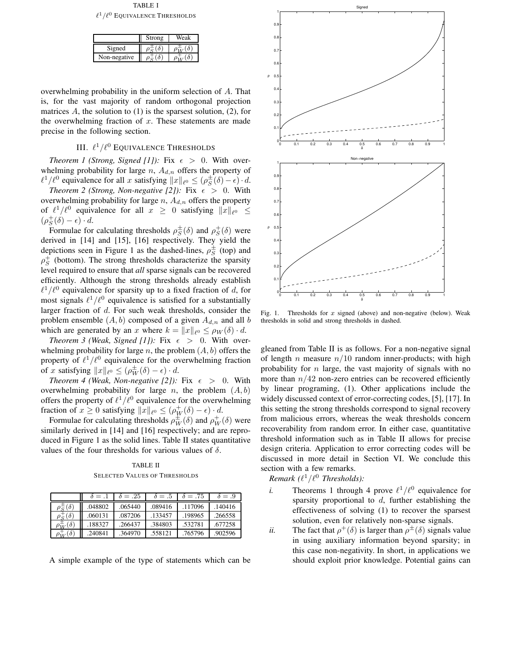TABLE I  $\ell^1/\ell^0$  Equivalence Thresholds

|              | Strong | Weak |
|--------------|--------|------|
| Signed       |        |      |
| Non-negative |        |      |

overwhelming probability in the uniform selection of A. That is, for the vast majority of random orthogonal projection matrices  $A$ , the solution to (1) is the sparsest solution, (2), for the overwhelming fraction of  $x$ . These statements are made precise in the following section.

# III.  $\ell^1/\ell^0$  Equivalence Thresholds

*Theorem 1 (Strong, Signed [1]):* Fix  $\epsilon > 0$ . With overwhelming probability for large  $n$ ,  $A_{d,n}$  offers the property of  $\ell^1/\ell^0$  equivalence for all x satisfying  $||x||_{\ell^0} \leq (\rho_S^{\pm})$  $\frac{1}{S}(\delta) - \epsilon \cdot d$ .

*Theorem* 2 *(Strong, Non-negative [2]):* Fix  $\epsilon > 0$ . With overwhelming probability for large  $n$ ,  $A_{d,n}$  offers the property of  $\ell^1/\ell^0$  equivalence for all  $x \geq 0$  satisfying  $||x||_{\ell^0} \leq$  $(\rho_S^+(\delta) - \epsilon) \cdot d.$ 

Formulae for calculating thresholds  $\rho_S^{\pm}$  $\frac{1}{S}(\delta)$  and  $\rho_S^+(\delta)$  were derived in [14] and [15], [16] respectively. They yield the depictions seen in Figure 1 as the dashed-lines,  $\rho_S^{\pm}$  $\frac{1}{S}$  (top) and  $\rho_S^+$  (bottom). The strong thresholds characterize the sparsity level required to ensure that *all* sparse signals can be recovered efficiently. Although the strong thresholds already establish  $\ell^1/\ell^0$  equivalence for sparsity up to a fixed fraction of d, for most signals  $\ell^1/\ell^0$  equivalence is satisfied for a substantially larger fraction of d. For such weak thresholds, consider the problem ensemble  $(A, b)$  composed of a given  $A_{d,n}$  and all b which are generated by an x where  $k = ||x||_{\ell^0} \le \rho_W(\delta) \cdot d$ .

*Theorem 3 (Weak, Signed [1]):* Fix  $\epsilon > 0$ . With overwhelming probability for large n, the problem  $(A, b)$  offers the property of  $\ell^1/\ell^0$  equivalence for the overwhelming fraction of x satisfying  $||x||_{\ell^0} \leq (\rho_W^{\pm}(\delta) - \epsilon) \cdot d$ .

*Theorem* 4 *(Weak, Non-negative [2]):* Fix  $\epsilon > 0$ . With overwhelming probability for large n, the problem  $(A, b)$ offers the property of  $\ell^1/\ell^0$  equivalence for the overwhelming fraction of  $x \ge 0$  satisfying  $\|x\|_{\ell^0} \le (\rho_W^+(\delta) - \epsilon) \cdot d$ .

Formulae for calculating thresholds  $\rho_W^{\pm}(\delta)$  and  $\rho_W^+(\delta)$  were similarly derived in [14] and [16] respectively; and are reproduced in Figure 1 as the solid lines. Table II states quantitative values of the four thresholds for various values of  $\delta$ .

TABLE II SELECTED VALUES OF THRESHOLDS

|                  | $\delta = 0.1$ | $\delta = .25$ | $\delta = .5$ | $\delta = .75$ | $\delta = .9$ |
|------------------|----------------|----------------|---------------|----------------|---------------|
| $\delta$<br>ה י  | .048802        | .065440        | .089416       | .117096        | .140416       |
| $\delta$         | .060131        | .087206        | .133457       | .198965        | .266558       |
| $(\delta)$<br>'W | .188327        | .266437        | .384803       | .532781        | .677258       |
| $(\delta)$       | .240841        | .364970        | .558121       | .765796        | .902596       |



Fig. 1. Thresholds for  $x$  signed (above) and non-negative (below). Weak thresholds in solid and strong thresholds in dashed.

gleaned from Table II is as follows. For a non-negative signal of length *n* measure  $n/10$  random inner-products; with high probability for  $n$  large, the vast majority of signals with no more than  $n/42$  non-zero entries can be recovered efficiently by linear programing, (1). Other applications include the widely discussed context of error-correcting codes, [5], [17]. In this setting the strong thresholds correspond to signal recovery from malicious errors, whereas the weak thresholds concern recoverability from random error. In either case, quantitative threshold information such as in Table II allows for precise design criteria. Application to error correcting codes will be discussed in more detail in Section VI. We conclude this section with a few remarks.

 $Remark (l^1/l^0)$  *Thresholds*):

- *i.* Theorems 1 through 4 prove  $\ell^1/\ell^0$  equivalence for sparsity proportional to  $d$ , further establishing the effectiveness of solving (1) to recover the sparsest solution, even for relatively non-sparse signals.
- *ii.* The fact that  $\rho^+(\delta)$  is larger than  $\rho^{\pm}(\delta)$  signals value in using auxiliary information beyond sparsity; in this case non-negativity. In short, in applications we should exploit prior knowledge. Potential gains can

A simple example of the type of statements which can be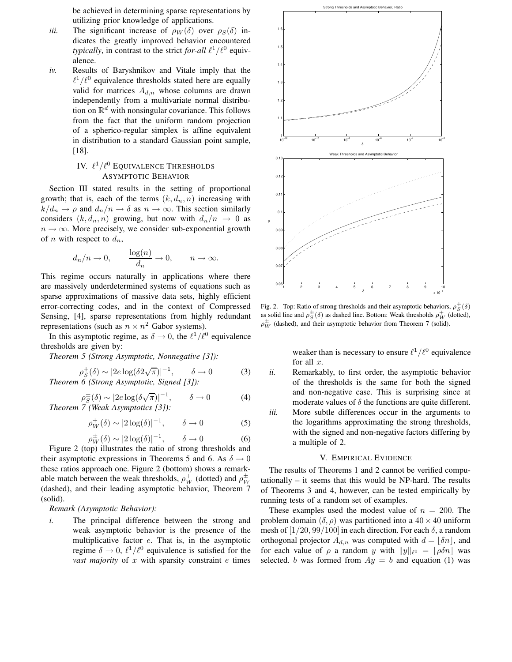be achieved in determining sparse representations by utilizing prior knowledge of applications.

- *iii.* The significant increase of  $\rho_W(\delta)$  over  $\rho_S(\delta)$  indicates the greatly improved behavior encountered *typically*, in contrast to the strict *for-all*  $\ell^1/\ell^0$  equivalence.
- *iv.* Results of Baryshnikov and Vitale imply that the  $\ell^1/\ell^0$  equivalence thresholds stated here are equally valid for matrices  $A_{d,n}$  whose columns are drawn independently from a multivariate normal distribution on  $\mathbb{R}^d$  with nonsingular covariance. This follows from the fact that the uniform random projection of a spherico-regular simplex is affine equivalent in distribution to a standard Gaussian point sample, [18].

# IV.  $\ell^1/\ell^0$  Equivalence Thresholds ASYMPTOTIC BEHAVIOR

Section III stated results in the setting of proportional growth; that is, each of the terms  $(k, d_n, n)$  increasing with  $k/d_n \to \rho$  and  $d_n/n \to \delta$  as  $n \to \infty$ . This section similarly considers  $(k, d_n, n)$  growing, but now with  $d_n/n \rightarrow 0$  as  $n \to \infty$ . More precisely, we consider sub-exponential growth of *n* with respect to  $d_n$ ,

$$
d_n/n \to 0
$$
,  $\frac{\log(n)}{d_n} \to 0$ ,  $n \to \infty$ .

This regime occurs naturally in applications where there are massively underdetermined systems of equations such as sparse approximations of massive data sets, highly efficient error-correcting codes, and in the context of Compressed Sensing, [4], sparse representations from highly redundant representations (such as  $n \times n^2$  Gabor systems).

In this asymptotic regime, as  $\delta \to 0$ , the  $\ell^1/\ell^0$  equivalence thresholds are given by:

*Theorem 5 (Strong Asymptotic, Nonnegative [3]):*

$$
\rho_S^+(\delta) \sim |2e \log(\delta 2\sqrt{\pi})|^{-1}, \quad \delta \to 0 \tag{3}
$$
  
Theorem 6 (Strong Asymptotic, Signal [3]).

$$
\rho_S^{\pm}(\delta) \sim |2e \log(\delta \sqrt{\pi})|^{-1}, \qquad \delta \to 0 \tag{4}
$$
  
Theorem 7 (Weak Asymptotics [3]).

$$
\rho_W^+(\delta) \sim |2\log(\delta)|^{-1}, \qquad \delta \to 0 \tag{5}
$$

$$
\rho_W^{\pm}(\delta) \sim |2\log(\delta)|^{-1}, \qquad \delta \to 0 \tag{6}
$$

Figure 2 (top) illustrates the ratio of strong thresholds and their asymptotic expressions in Theorems 5 and 6. As  $\delta \rightarrow 0$ these ratios approach one. Figure 2 (bottom) shows a remarkable match between the weak thresholds,  $\rho_W^+$  (dotted) and  $\rho_W^{\pm}$ W (dashed), and their leading asymptotic behavior, Theorem 7 (solid).

## *Remark (Asymptotic Behavior):*

*i.* The principal difference between the strong and weak asymptotic behavior is the presence of the multiplicative factor e. That is, in the asymptotic regime  $\delta \to 0$ ,  $\ell^1/\ell^0$  equivalence is satisfied for the *vast majority* of  $x$  with sparsity constraint  $e$  times



Fig. 2. Top: Ratio of strong thresholds and their asymptotic behaviors,  $\rho_S^+(\delta)$ as solid line and  $\rho_S^{\pm}(\delta)$  as dashed line. Bottom: Weak thresholds  $\rho_W^+$  (dotted),  $\rho_W^{\pm}$  (dashed), and their asymptotic behavior from Theorem 7 (solid).

weaker than is necessary to ensure  $\ell^1/\ell^0$  equivalence for all  $x$ .

- *ii.* Remarkably, to first order, the asymptotic behavior of the thresholds is the same for both the signed and non-negative case. This is surprising since at moderate values of  $\delta$  the functions are quite different.
- *iii.* More subtle differences occur in the arguments to the logarithms approximating the strong thresholds, with the signed and non-negative factors differing by a multiple of 2.

#### V. EMPIRICAL EVIDENCE

The results of Theorems 1 and 2 cannot be verified computationally – it seems that this would be NP-hard. The results of Theorems 3 and 4, however, can be tested empirically by running tests of a random set of examples.

These examples used the modest value of  $n = 200$ . The problem domain  $(\delta, \rho)$  was partitioned into a  $40 \times 40$  uniform mesh of  $[1/20, 99/100]$  in each direction. For each  $\delta$ , a random orthogonal projector  $A_{d,n}$  was computed with  $d = |\delta n|$ , and for each value of  $\rho$  a random y with  $||y||_{\ell^0} = \lfloor \rho \delta n \rfloor$  was selected. b was formed from  $Ay = b$  and equation (1) was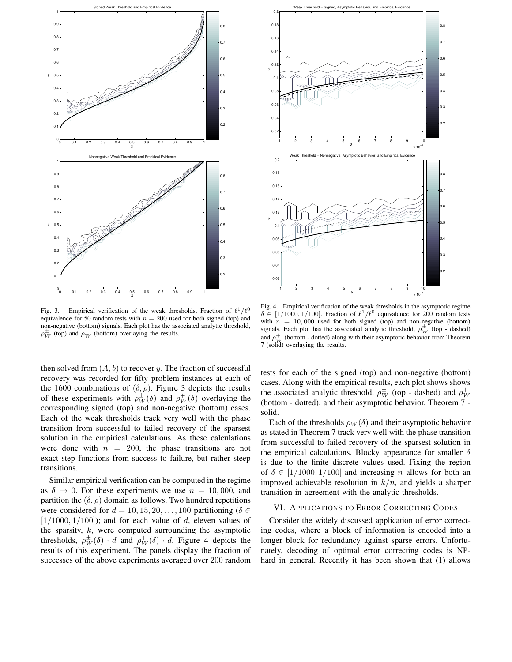

Fig. 3. Empirical verification of the weak thresholds. Fraction of  $\ell^1/\ell^0$ equivalence for 50 random tests with  $n = 200$  used for both signed (top) and non-negative (bottom) signals. Each plot has the associated analytic threshold,  $\rho_W^{\pm}$  (top) and  $\rho_W^+$  (bottom) overlaying the results.

then solved from  $(A, b)$  to recover y. The fraction of successful recovery was recorded for fifty problem instances at each of the 1600 combinations of  $(\delta, \rho)$ . Figure 3 depicts the results of these experiments with  $\rho_W^{\pm}(\delta)$  and  $\rho_W^{\pm}(\delta)$  overlaying the corresponding signed (top) and non-negative (bottom) cases. Each of the weak thresholds track very well with the phase transition from successful to failed recovery of the sparsest solution in the empirical calculations. As these calculations were done with  $n = 200$ , the phase transitions are not exact step functions from success to failure, but rather steep transitions.

Similar empirical verification can be computed in the regime as  $\delta \rightarrow 0$ . For these experiments we use  $n = 10,000$ , and partition the  $(\delta, \rho)$  domain as follows. Two hundred repetitions were considered for  $d = 10, 15, 20, \ldots, 100$  partitioning ( $\delta \in$  $[1/1000, 1/100]$ ; and for each value of d, eleven values of the sparsity,  $k$ , were computed surrounding the asymptotic thresholds,  $\rho_W^{\pm}(\delta) \cdot d$  and  $\rho_W^+(\delta) \cdot d$ . Figure 4 depicts the results of this experiment. The panels display the fraction of successes of the above experiments averaged over 200 random



Fig. 4. Empirical verification of the weak thresholds in the asymptotic regime  $\delta \in [1/1000, 1/100]$ . Fraction of  $\ell^1/\ell^0$  equivalence for 200 random tests with  $n = 10,000$  used for both signed (top) and non-negative (bottom) signals. Each plot has the associated analytic threshold,  $\rho_W^{\pm}$  (top - dashed) and  $\rho_W^+$  (bottom - dotted) along with their asymptotic behavior from Theorem 7 (solid) overlaying the results.

tests for each of the signed (top) and non-negative (bottom) cases. Along with the empirical results, each plot shows shows the associated analytic threshold,  $\rho_W^{\pm}$  (top - dashed) and  $\rho_W^+$ (bottom - dotted), and their asymptotic behavior, Theorem 7 solid.

Each of the thresholds  $\rho_W(\delta)$  and their asymptotic behavior as stated in Theorem 7 track very well with the phase transition from successful to failed recovery of the sparsest solution in the empirical calculations. Blocky appearance for smaller  $\delta$ is due to the finite discrete values used. Fixing the region of  $\delta \in [1/1000, 1/100]$  and increasing *n* allows for both an improved achievable resolution in  $k/n$ , and yields a sharper transition in agreement with the analytic thresholds.

## VI. APPLICATIONS TO ERROR CORRECTING CODES

Consider the widely discussed application of error correcting codes, where a block of information is encoded into a longer block for redundancy against sparse errors. Unfortunately, decoding of optimal error correcting codes is NPhard in general. Recently it has been shown that (1) allows